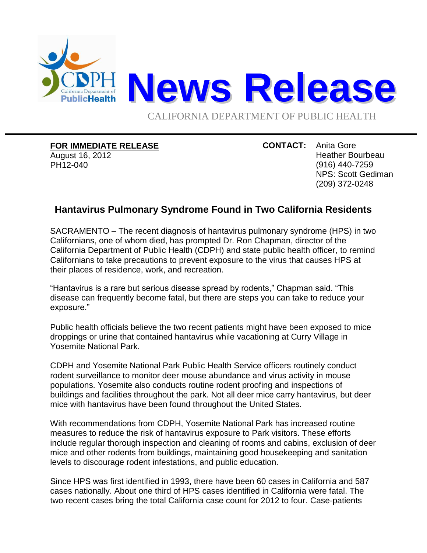

## **FOR IMMEDIATE RELEASE**

August 16, 2012 PH12-040

**CONTACT:** Anita Gore Heather Bourbeau (916) 440-7259 NPS: Scott Gediman (209) 372-0248

## **Hantavirus Pulmonary Syndrome Found in Two California Residents**

SACRAMENTO – The recent diagnosis of hantavirus pulmonary syndrome (HPS) in two Californians, one of whom died, has prompted Dr. Ron Chapman, director of the California Department of Public Health (CDPH) and state public health officer, to remind Californians to take precautions to prevent exposure to the virus that causes HPS at their places of residence, work, and recreation.

"Hantavirus is a rare but serious disease spread by rodents," Chapman said. "This disease can frequently become fatal, but there are steps you can take to reduce your exposure."

Public health officials believe the two recent patients might have been exposed to mice droppings or urine that contained hantavirus while vacationing at Curry Village in Yosemite National Park.

CDPH and Yosemite National Park Public Health Service officers routinely conduct rodent surveillance to monitor deer mouse abundance and virus activity in mouse populations. Yosemite also conducts routine rodent proofing and inspections of buildings and facilities throughout the park. Not all deer mice carry hantavirus, but deer mice with hantavirus have been found throughout the United States.

With recommendations from CDPH, Yosemite National Park has increased routine measures to reduce the risk of hantavirus exposure to Park visitors. These efforts include regular thorough inspection and cleaning of rooms and cabins, exclusion of deer mice and other rodents from buildings, maintaining good housekeeping and sanitation levels to discourage rodent infestations, and public education.

Since HPS was first identified in 1993, there have been 60 cases in California and 587 cases nationally. About one third of HPS cases identified in California were fatal. The two recent cases bring the total California case count for 2012 to four. Case-patients